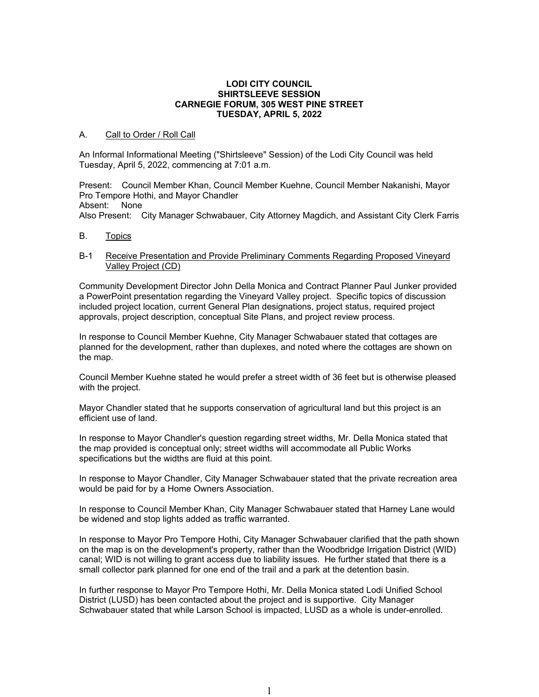#### **LODI CITY COUNCIL SHIRTSLEEVE SESSION CARNEGIE FORUM, 305 WEST PINE STREET TUESDAY, APRIL 5, 2022**

## A. Call to Order / Roll Call

An Informal Informational Meeting ("Shirtsleeve" Session) of the Lodi City Council was held Tuesday, April 5, 2022, commencing at 7:01 a.m.

Present: Council Member Khan, Council Member Kuehne, Council Member Nakanishi, Mayor Pro Tempore Hothi, and Mayor Chandler Absent: None Also Present: City Manager Schwabauer, City Attorney Magdich, and Assistant City Clerk Farris

B. Topics

## B-1 Receive Presentation and Provide Preliminary Comments Regarding Proposed Vineyard Valley Project (CD)

Community Development Director John Della Monica and Contract Planner Paul Junker provided a PowerPoint presentation regarding the Vineyard Valley project. Specific topics of discussion included project location, current General Plan designations, project status, required project approvals, project description, conceptual Site Plans, and project review process.

In response to Council Member Kuehne, City Manager Schwabauer stated that cottages are planned for the development, rather than duplexes, and noted where the cottages are shown on the map.

Council Member Kuehne stated he would prefer a street width of 36 feet but is otherwise pleased with the project.

Mayor Chandler stated that he supports conservation of agricultural land but this project is an efficient use of land.

In response to Mayor Chandler's question regarding street widths, Mr. Della Monica stated that the map provided is conceptual only; street widths will accommodate all Public Works specifications but the widths are fluid at this point.

In response to Mayor Chandler, City Manager Schwabauer stated that the private recreation area would be paid for by a Home Owners Association.

In response to Council Member Khan, City Manager Schwabauer stated that Harney Lane would be widened and stop lights added as traffic warranted.

In response to Mayor Pro Tempore Hothi, City Manager Schwabauer clarified that the path shown on the map is on the development's property, rather than the Woodbridge Irrigation District (WID) canal; WID is not willing to grant access due to liability issues. He further stated that there is a small collector park planned for one end of the trail and a park at the detention basin.

In further response to Mayor Pro Tempore Hothi, Mr. Della Monica stated Lodi Unified School District (LUSD) has been contacted about the project and is supportive. City Manager Schwabauer stated that while Larson School is impacted, LUSD as a whole is under-enrolled.